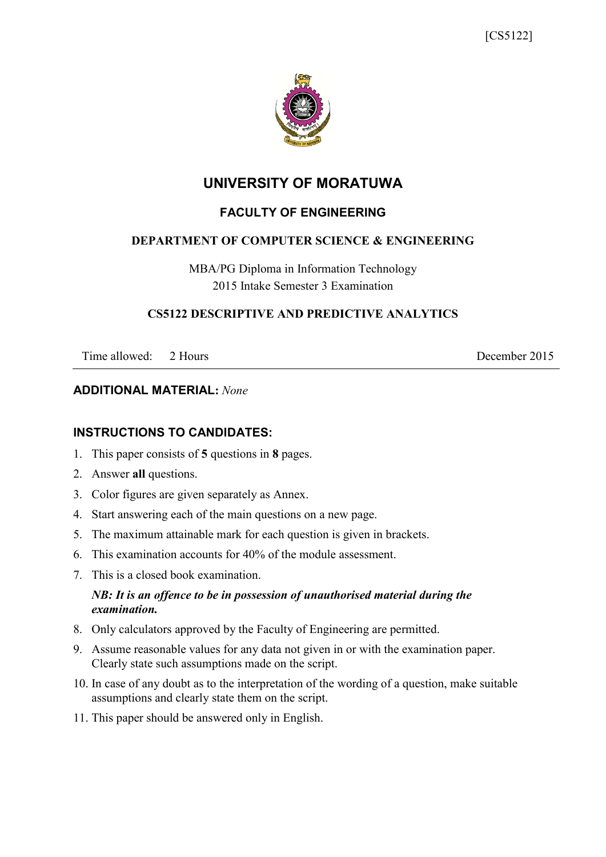

## **UNIVERSITY OF MORATUWA**

## **FACULTY OF ENGINEERING**

### **DEPARTMENT OF COMPUTER SCIENCE & ENGINEERING**

MBA/PG Diploma in Information Technology 2015 Intake Semester 3 Examination

#### **CS5122 DESCRIPTIVE AND PREDICTIVE ANALYTICS**

Time allowed: 2 Hours 2015

#### **ADDITIONAL MATERIAL:** *None*

## **INSTRUCTIONS TO CANDIDATES:**

- 1. This paper consists of **5** questions in **8** pages.
- 2. Answer **all** questions.
- 3. Color figures are given separately as Annex.
- 4. Start answering each of the main questions on a new page.
- 5. The maximum attainable mark for each question is given in brackets.
- 6. This examination accounts for 40% of the module assessment.
- 7. This is a closed book examination.

### *NB: It is an offence to be in possession of unauthorised material during the examination.*

- 8. Only calculators approved by the Faculty of Engineering are permitted.
- 9. Assume reasonable values for any data not given in or with the examination paper. Clearly state such assumptions made on the script.
- 10. In case of any doubt as to the interpretation of the wording of a question, make suitable assumptions and clearly state them on the script.
- 11. This paper should be answered only in English.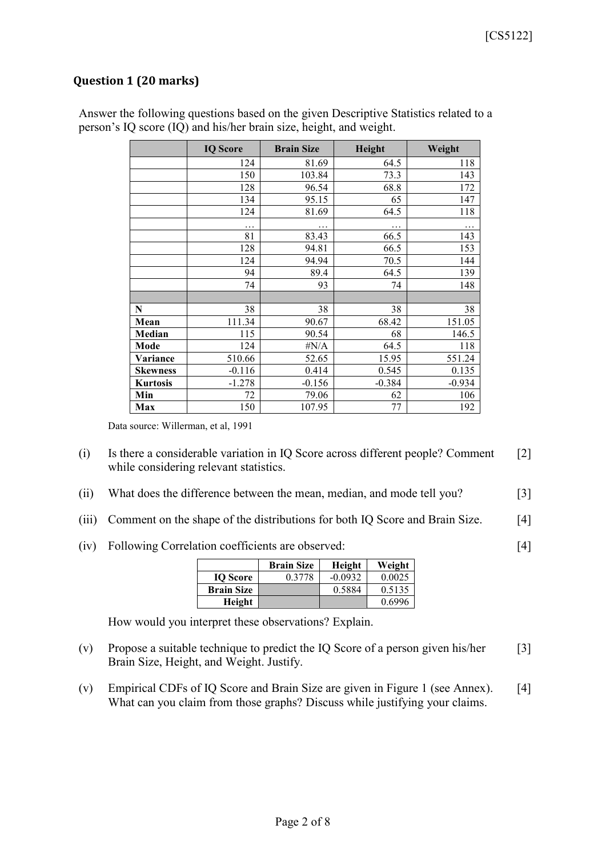[4]

## **Question 1 (20 marks)**

|                 | <b>IQ Score</b> | <b>Brain Size</b> | Height   | Weight   |
|-----------------|-----------------|-------------------|----------|----------|
|                 | 124             | 81.69             | 64.5     | 118      |
|                 | 150             | 103.84            | 73.3     | 143      |
|                 | 128             | 96.54             | 68.8     | 172      |
|                 | 134             | 95.15             | 65       | 147      |
|                 | 124             | 81.69             | 64.5     | 118      |
|                 | .               | .                 | $\cdots$ | .        |
|                 | 81              | 83.43             | 66.5     | 143      |
|                 | 128             | 94.81             | 66.5     | 153      |
|                 | 124             | 94.94             | 70.5     | 144      |
|                 | 94              | 89.4              | 64.5     | 139      |
|                 | 74              | 93                | 74       | 148      |
|                 |                 |                   |          |          |
| N               | 38              | 38                | 38       | 38       |
| Mean            | 111.34          | 90.67             | 68.42    | 151.05   |
| Median          | 115             | 90.54             | 68       | 146.5    |
| Mode            | 124             | $\#N/A$           | 64.5     | 118      |
| <b>Variance</b> | 510.66          | 52.65             | 15.95    | 551.24   |
| <b>Skewness</b> | $-0.116$        | 0.414             | 0.545    | 0.135    |
| <b>Kurtosis</b> | $-1.278$        | $-0.156$          | $-0.384$ | $-0.934$ |
| Min             | 72              | 79.06             | 62       | 106      |
| Max             | 150             | 107.95            | 77       | 192      |

Answer the following questions based on the given Descriptive Statistics related to a person's IQ score (IQ) and his/her brain size, height, and weight.

Data source: Willerman, et al, 1991

- (i) Is there a considerable variation in IQ Score across different people? Comment while considering relevant statistics. [2]
- (ii) What does the difference between the mean, median, and mode tell you? [3]
- (iii) Comment on the shape of the distributions for both IQ Score and Brain Size. [4]
- (iv) Following Correlation coefficients are observed:

|                   | <b>Brain Size</b> | Height    | Weight |
|-------------------|-------------------|-----------|--------|
| <b>IO</b> Score   | 0.3778            | $-0.0932$ | 0.0025 |
| <b>Brain Size</b> |                   | 0.5884    | 0.5135 |
| Height            |                   |           | 0.6996 |

How would you interpret these observations? Explain.

- (v) Propose a suitable technique to predict the IQ Score of a person given his/her Brain Size, Height, and Weight. Justify. [3]
- (v) Empirical CDFs of IQ Score and Brain Size are given in Figure 1 (see Annex). What can you claim from those graphs? Discuss while justifying your claims. [4]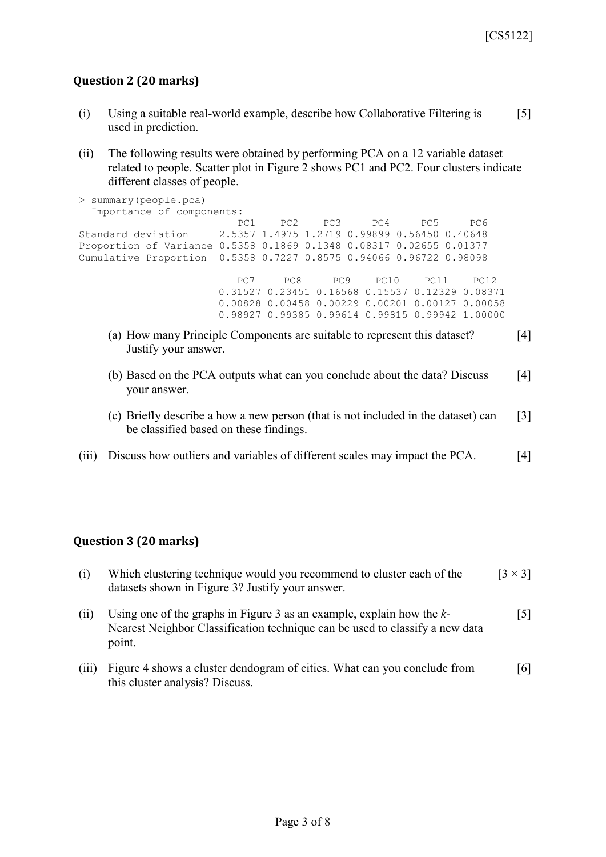## **Question 2 (20 marks)**

- (i) Using a suitable real-world example, describe how Collaborative Filtering is used in prediction.  $\lceil 5 \rceil$
- (ii) The following results were obtained by performing PCA on a 12 variable dataset related to people. Scatter plot in Figure 2 shows PC1 and PC2. Four clusters indicate different classes of people.

```
> summary(people.pca)
  Importance of components:
PC1 PC2 PC3 PC4 PC5 PC6
Standard deviation 2.5357 1.4975 1.2719 0.99899 0.56450 0.40648
Proportion of Variance 0.5358 0.1869 0.1348 0.08317 0.02655 0.01377
Cumulative Proportion 0.5358 0.7227 0.8575 0.94066 0.96722 0.98098
                       PC7 PC8 PC9 PC10 PC11 PC12
                     0.31527 0.23451 0.16568 0.15537 0.12329 0.08371
                     0.00828 0.00458 0.00229 0.00201 0.00127 0.00058
                     0.98927 0.99385 0.99614 0.99815 0.99942 1.00000
    (a) How many Principle Components are suitable to represent this dataset? 
                                                                  [4]
```
- Justify your answer.
- (b) Based on the PCA outputs what can you conclude about the data? Discuss your answer. [4]
- (c) Briefly describe a how a new person (that is not included in the dataset) can be classified based on these findings. [3]
- (iii) Discuss how outliers and variables of different scales may impact the PCA. [4]

#### **Question 3 (20 marks)**

| (i)  | Which clustering technique would you recommend to cluster each of the<br>datasets shown in Figure 3? Justify your answer.                                          | $\left[3\times3\right]$ |
|------|--------------------------------------------------------------------------------------------------------------------------------------------------------------------|-------------------------|
| (11) | Using one of the graphs in Figure 3 as an example, explain how the $k$ -<br>Nearest Neighbor Classification technique can be used to classify a new data<br>point. | [5]                     |

(iii) Figure 4 shows a cluster dendogram of cities. What can you conclude from this cluster analysis? Discuss. [6]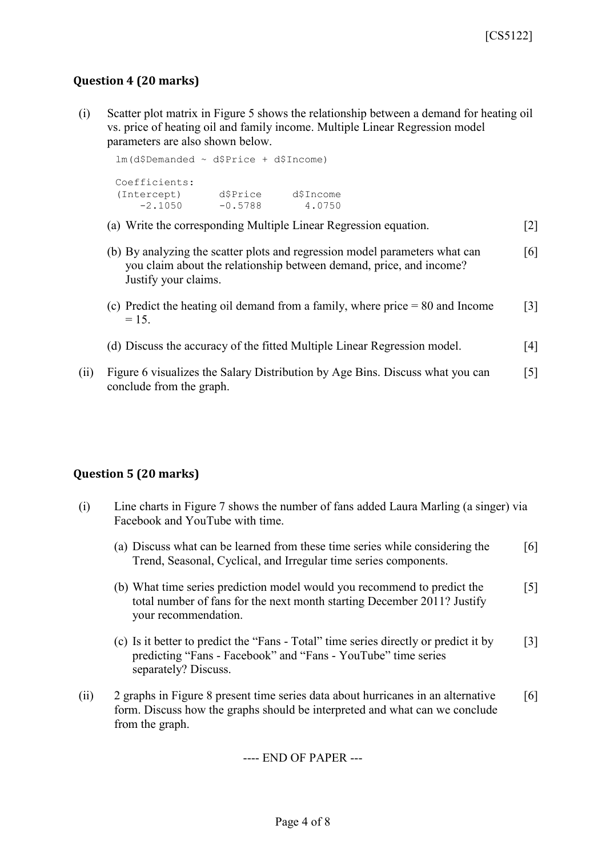## **Question 4 (20 marks)**

(i) Scatter plot matrix in Figure 5 shows the relationship between a demand for heating oil vs. price of heating oil and family income. Multiple Linear Regression model parameters are also shown below.

```
lm(d$Demanded ~ d$Price + d$Income)
Coefficients:
(Intercept) d$Price d$Income 
 -2.1050 -0.5788 4.0750
```
- (a) Write the corresponding Multiple Linear Regression equation. [2]
- (b) By analyzing the scatter plots and regression model parameters what can you claim about the relationship between demand, price, and income? Justify your claims. [6]
- (c) Predict the heating oil demand from a family, where price = 80 and Income  $= 15.$ [3]
- (d) Discuss the accuracy of the fitted Multiple Linear Regression model. [4]
- (ii) Figure 6 visualizes the Salary Distribution by Age Bins. Discuss what you can conclude from the graph. [5]

#### **Question 5 (20 marks)**

- (i) Line charts in Figure 7 shows the number of fans added Laura Marling (a singer) via Facebook and YouTube with time.
	- (a) Discuss what can be learned from these time series while considering the Trend, Seasonal, Cyclical, and Irregular time series components. [6]
	- (b) What time series prediction model would you recommend to predict the total number of fans for the next month starting December 2011? Justify your recommendation. [5]
	- (c) Is it better to predict the "Fans Total" time series directly or predict it by predicting "Fans - Facebook" and "Fans - YouTube" time series separately? Discuss. [3]
- (ii) 2 graphs in Figure 8 present time series data about hurricanes in an alternative form. Discuss how the graphs should be interpreted and what can we conclude from the graph. [6]

---- END OF PAPER ---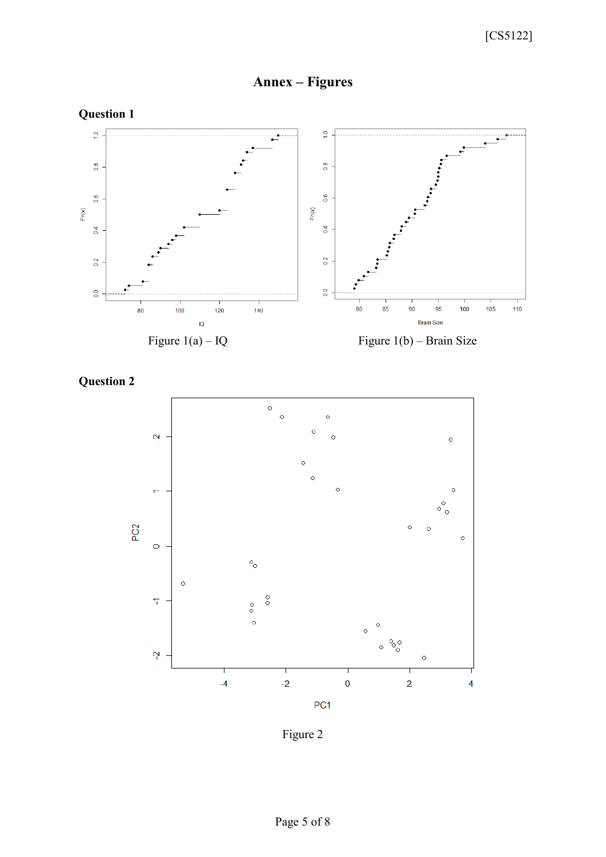



**Question 2**



Figure 2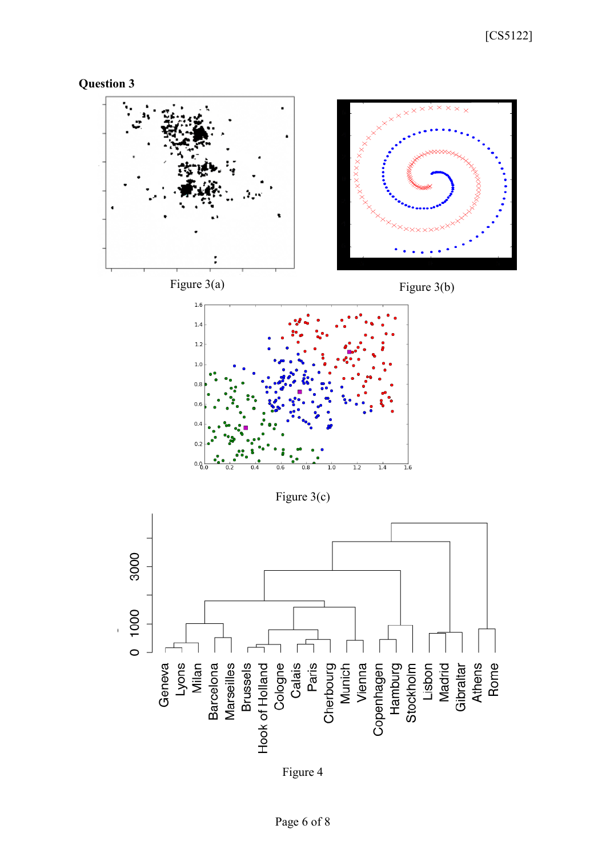



Figure 4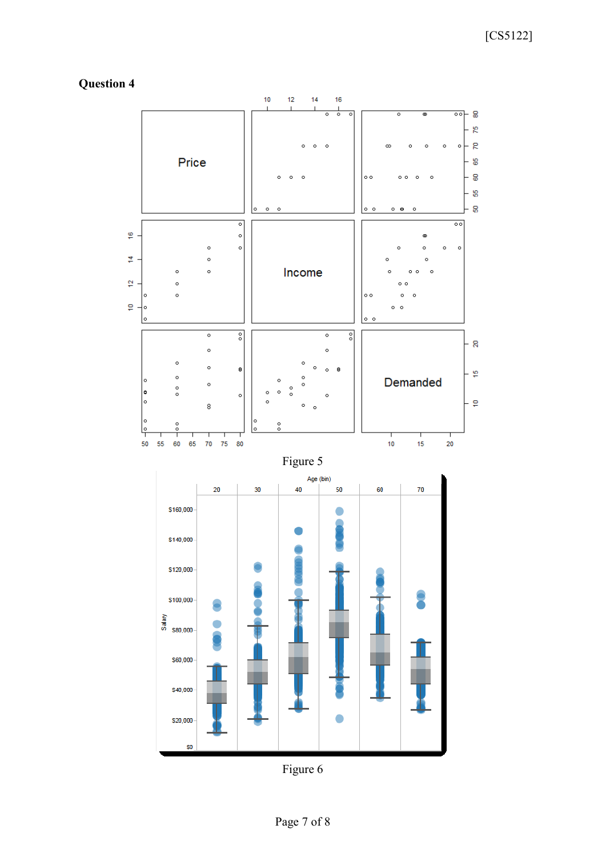# **Question 4**



Figure 6